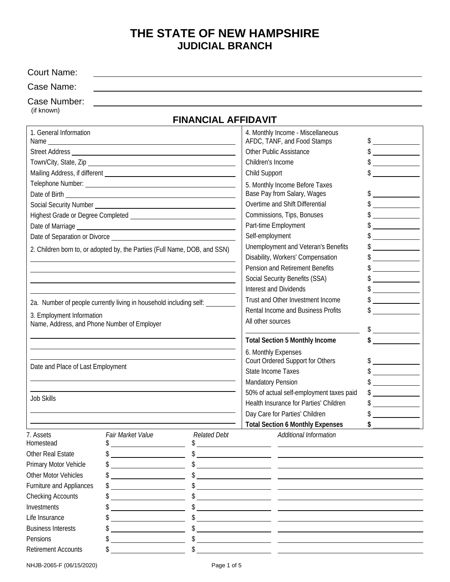# **THE STATE OF NEW HAMPSHIRE JUDICIAL BRANCH**

| <b>Court Name:</b>                                                       |                                                                           |                            |                                                                                              |                                                                                                                         |               |
|--------------------------------------------------------------------------|---------------------------------------------------------------------------|----------------------------|----------------------------------------------------------------------------------------------|-------------------------------------------------------------------------------------------------------------------------|---------------|
| Case Name:                                                               |                                                                           |                            |                                                                                              |                                                                                                                         |               |
| Case Number:                                                             |                                                                           |                            |                                                                                              |                                                                                                                         |               |
| (if known)                                                               |                                                                           |                            |                                                                                              |                                                                                                                         |               |
|                                                                          |                                                                           | <b>FINANCIAL AFFIDAVIT</b> |                                                                                              |                                                                                                                         |               |
| 1. General Information                                                   |                                                                           |                            | 4. Monthly Income - Miscellaneous<br>AFDC, TANF, and Food Stamps                             |                                                                                                                         | $\frac{1}{2}$ |
|                                                                          |                                                                           |                            | Other Public Assistance                                                                      |                                                                                                                         | $\frac{1}{2}$ |
|                                                                          |                                                                           |                            | Children's Income                                                                            |                                                                                                                         | $\frac{1}{2}$ |
|                                                                          |                                                                           |                            | Child Support                                                                                |                                                                                                                         | $\frac{1}{2}$ |
|                                                                          |                                                                           |                            |                                                                                              | 5. Monthly Income Before Taxes                                                                                          |               |
|                                                                          |                                                                           |                            | Base Pay from Salary, Wages<br>Overtime and Shift Differential                               |                                                                                                                         | $\frac{1}{2}$ |
|                                                                          |                                                                           |                            |                                                                                              |                                                                                                                         | $\frac{1}{2}$ |
|                                                                          |                                                                           |                            |                                                                                              | Commissions, Tips, Bonuses                                                                                              |               |
|                                                                          |                                                                           |                            | Part-time Employment                                                                         |                                                                                                                         | $\frac{1}{2}$ |
|                                                                          |                                                                           |                            | Self-employment                                                                              |                                                                                                                         | $\frac{1}{2}$ |
|                                                                          | 2. Children born to, or adopted by, the Parties (Full Name, DOB, and SSN) |                            |                                                                                              | Unemployment and Veteran's Benefits                                                                                     | $\frac{1}{2}$ |
|                                                                          |                                                                           |                            | Disability, Workers' Compensation                                                            |                                                                                                                         | $\frac{1}{2}$ |
|                                                                          |                                                                           |                            |                                                                                              | Pension and Retirement Benefits                                                                                         | $\frac{1}{2}$ |
|                                                                          |                                                                           |                            |                                                                                              | Social Security Benefits (SSA)                                                                                          | $\frac{1}{2}$ |
|                                                                          |                                                                           |                            | <b>Interest and Dividends</b>                                                                |                                                                                                                         | $\frac{1}{2}$ |
|                                                                          | 2a. Number of people currently living in household including self:        |                            | Trust and Other Investment Income<br>Rental Income and Business Profits<br>All other sources |                                                                                                                         | $\frac{1}{2}$ |
|                                                                          |                                                                           |                            |                                                                                              |                                                                                                                         |               |
| 3. Employment Information<br>Name, Address, and Phone Number of Employer |                                                                           |                            |                                                                                              |                                                                                                                         |               |
|                                                                          |                                                                           |                            |                                                                                              |                                                                                                                         |               |
|                                                                          |                                                                           |                            |                                                                                              | <b>Total Section 5 Monthly Income</b>                                                                                   |               |
|                                                                          |                                                                           |                            | 6. Monthly Expenses                                                                          |                                                                                                                         |               |
| Date and Place of Last Employment                                        |                                                                           |                            | Court Ordered Support for Others                                                             |                                                                                                                         | $\frac{1}{2}$ |
|                                                                          |                                                                           |                            | State Income Taxes                                                                           |                                                                                                                         | $\frac{1}{2}$ |
|                                                                          |                                                                           |                            | <b>Mandatory Pension</b>                                                                     |                                                                                                                         |               |
|                                                                          |                                                                           |                            | 50% of actual self-employment taxes paid                                                     |                                                                                                                         |               |
| <b>Job Skills</b>                                                        |                                                                           |                            | Health Insurance for Parties' Children                                                       |                                                                                                                         |               |
|                                                                          |                                                                           |                            |                                                                                              | Day Care for Parties' Children                                                                                          |               |
|                                                                          |                                                                           |                            |                                                                                              | <b>Total Section 6 Monthly Expenses</b>                                                                                 |               |
| 7. Assets                                                                | Fair Market Value                                                         | <b>Related Debt</b>        |                                                                                              | Additional Information                                                                                                  |               |
| Homestead                                                                | <u> 1980 - Johann Barbara, martin a</u>                                   |                            |                                                                                              |                                                                                                                         |               |
| Other Real Estate                                                        |                                                                           |                            |                                                                                              | $\frac{1}{2}$                                                                                                           |               |
| Primary Motor Vehicle                                                    | <u> 1989 - Johann Barbara, martin a</u>                                   |                            |                                                                                              | $\frac{1}{2}$                                                                                                           |               |
| <b>Other Motor Vehicles</b>                                              |                                                                           |                            |                                                                                              | $\frac{1}{2}$                                                                                                           |               |
| Furniture and Appliances                                                 | <u> 1990 - Johann Barbara, martxa a</u>                                   |                            |                                                                                              |                                                                                                                         |               |
| <b>Checking Accounts</b>                                                 |                                                                           |                            |                                                                                              | <u> 1989 - Johann John Stone, markin film yn y brenin y brenin y brenin y brenin y brenin y brenin y brenin y br</u>    |               |
| Investments                                                              |                                                                           |                            |                                                                                              |                                                                                                                         |               |
| Life Insurance                                                           |                                                                           |                            |                                                                                              |                                                                                                                         |               |
| <b>Business Interests</b>                                                |                                                                           |                            |                                                                                              |                                                                                                                         |               |
| Pensions                                                                 |                                                                           |                            |                                                                                              | <u> 1989 - Andrea Santa Alemania, poeta esperanto-se esperanto-se esperanto-se esperanto-se esperanto-se esperanto-</u> |               |
| <b>Retirement Accounts</b>                                               |                                                                           |                            |                                                                                              |                                                                                                                         |               |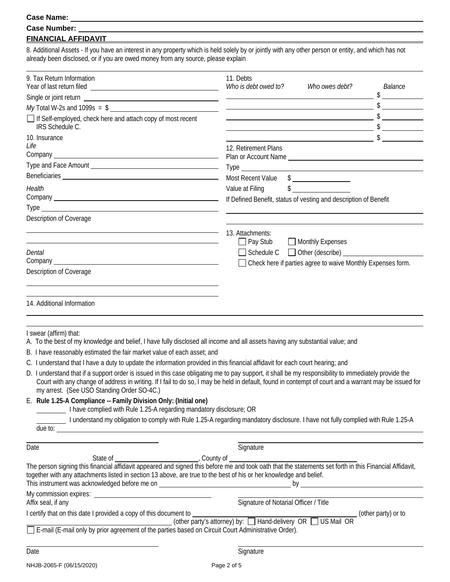#### **Case Name:**

#### **Case Number:**

### **FINANCIAL AFFIDAVIT**

8. Additional Assets - If you have an interest in any property which is held solely by or jointly with any other person or entity, and which has not already been disclosed, or if you are owed money from any source, please explain

<u> 1980 - Johann Barn, mars an t-Amerikaansk kommunister (</u>

| 9. Tax Return Information                                                                                                                                                                                                                                                                                                                                    | 11. Debts<br>Who is debt owed to?<br>Who owes debt?                                                                                                                                                                                                                                                                                                                                                                                                                             | Balance |  |
|--------------------------------------------------------------------------------------------------------------------------------------------------------------------------------------------------------------------------------------------------------------------------------------------------------------------------------------------------------------|---------------------------------------------------------------------------------------------------------------------------------------------------------------------------------------------------------------------------------------------------------------------------------------------------------------------------------------------------------------------------------------------------------------------------------------------------------------------------------|---------|--|
|                                                                                                                                                                                                                                                                                                                                                              |                                                                                                                                                                                                                                                                                                                                                                                                                                                                                 |         |  |
| $My$ Total W-2s and 1099s = \$                                                                                                                                                                                                                                                                                                                               | $\overline{\phantom{a}}$ $\overline{\phantom{a}}$ $\overline{\phantom{a}}$ $\overline{\phantom{a}}$ $\overline{\phantom{a}}$ $\overline{\phantom{a}}$ $\overline{\phantom{a}}$ $\overline{\phantom{a}}$ $\overline{\phantom{a}}$ $\overline{\phantom{a}}$ $\overline{\phantom{a}}$ $\overline{\phantom{a}}$ $\overline{\phantom{a}}$ $\overline{\phantom{a}}$ $\overline{\phantom{a}}$ $\overline{\phantom{a}}$ $\overline{\phantom{a}}$ $\overline{\phantom{a}}$ $\overline{\$ |         |  |
| If Self-employed, check here and attach copy of most recent<br>IRS Schedule C.                                                                                                                                                                                                                                                                               | $\overbrace{\hspace{2.5cm}}$ $\overbrace{\hspace{2.5cm}}$ $\overbrace{\hspace{2.5cm}}$ $\overbrace{\hspace{2.5cm}}$ $\overbrace{\hspace{2.5cm}}$                                                                                                                                                                                                                                                                                                                                |         |  |
| 10. Insurance                                                                                                                                                                                                                                                                                                                                                | $\overline{\phantom{a}}$ \$                                                                                                                                                                                                                                                                                                                                                                                                                                                     |         |  |
| Life                                                                                                                                                                                                                                                                                                                                                         | 12. Retirement Plans                                                                                                                                                                                                                                                                                                                                                                                                                                                            |         |  |
|                                                                                                                                                                                                                                                                                                                                                              |                                                                                                                                                                                                                                                                                                                                                                                                                                                                                 |         |  |
|                                                                                                                                                                                                                                                                                                                                                              |                                                                                                                                                                                                                                                                                                                                                                                                                                                                                 |         |  |
|                                                                                                                                                                                                                                                                                                                                                              | Most Recent Value \$                                                                                                                                                                                                                                                                                                                                                                                                                                                            |         |  |
| Health                                                                                                                                                                                                                                                                                                                                                       | $\frac{1}{2}$<br>Value at Filing                                                                                                                                                                                                                                                                                                                                                                                                                                                |         |  |
|                                                                                                                                                                                                                                                                                                                                                              | If Defined Benefit, status of vesting and description of Benefit                                                                                                                                                                                                                                                                                                                                                                                                                |         |  |
|                                                                                                                                                                                                                                                                                                                                                              |                                                                                                                                                                                                                                                                                                                                                                                                                                                                                 |         |  |
| Description of Coverage                                                                                                                                                                                                                                                                                                                                      |                                                                                                                                                                                                                                                                                                                                                                                                                                                                                 |         |  |
|                                                                                                                                                                                                                                                                                                                                                              |                                                                                                                                                                                                                                                                                                                                                                                                                                                                                 |         |  |
|                                                                                                                                                                                                                                                                                                                                                              | 13. Attachments:                                                                                                                                                                                                                                                                                                                                                                                                                                                                |         |  |
|                                                                                                                                                                                                                                                                                                                                                              | $\Box$ Pay Stub<br>Monthly Expenses                                                                                                                                                                                                                                                                                                                                                                                                                                             |         |  |
| Dental                                                                                                                                                                                                                                                                                                                                                       | Schedule C C Other (describe)                                                                                                                                                                                                                                                                                                                                                                                                                                                   |         |  |
|                                                                                                                                                                                                                                                                                                                                                              | Check here if parties agree to waive Monthly Expenses form.                                                                                                                                                                                                                                                                                                                                                                                                                     |         |  |
| <b>Description of Coverage</b>                                                                                                                                                                                                                                                                                                                               |                                                                                                                                                                                                                                                                                                                                                                                                                                                                                 |         |  |
|                                                                                                                                                                                                                                                                                                                                                              |                                                                                                                                                                                                                                                                                                                                                                                                                                                                                 |         |  |
| 14. Additional Information                                                                                                                                                                                                                                                                                                                                   |                                                                                                                                                                                                                                                                                                                                                                                                                                                                                 |         |  |
| I swear (affirm) that:<br>A. To the best of my knowledge and belief, I have fully disclosed all income and all assets having any substantial value; and                                                                                                                                                                                                      |                                                                                                                                                                                                                                                                                                                                                                                                                                                                                 |         |  |
| B. I have reasonably estimated the fair market value of each asset; and                                                                                                                                                                                                                                                                                      |                                                                                                                                                                                                                                                                                                                                                                                                                                                                                 |         |  |
| C. I understand that I have a duty to update the information provided in this financial affidavit for each court hearing; and                                                                                                                                                                                                                                |                                                                                                                                                                                                                                                                                                                                                                                                                                                                                 |         |  |
| D. I understand that if a support order is issued in this case obligating me to pay support, it shall be my responsibility to immediately provide the<br>Court with any change of address in writing. If I fail to do so, I may be held in default, found in contempt of court and a warrant may be issued for<br>my arrest. (See USO Standing Order SO-4C.) |                                                                                                                                                                                                                                                                                                                                                                                                                                                                                 |         |  |
| E. Rule 1.25-A Compliance -- Family Division Only: (Initial one)<br>I have complied with Rule 1.25-A regarding mandatory disclosure; OR                                                                                                                                                                                                                      |                                                                                                                                                                                                                                                                                                                                                                                                                                                                                 |         |  |
| I understand my obligation to comply with Rule 1.25-A regarding mandatory disclosure. I have not fully complied with Rule 1.25-A                                                                                                                                                                                                                             |                                                                                                                                                                                                                                                                                                                                                                                                                                                                                 |         |  |
| due to: <u>example</u> and the contract of the contract of the contract of the contract of the contract of the contract of the contract of the contract of the contract of the contract of the contract of the contract of the cont                                                                                                                          |                                                                                                                                                                                                                                                                                                                                                                                                                                                                                 |         |  |
|                                                                                                                                                                                                                                                                                                                                                              |                                                                                                                                                                                                                                                                                                                                                                                                                                                                                 |         |  |
| Date                                                                                                                                                                                                                                                                                                                                                         | Signature                                                                                                                                                                                                                                                                                                                                                                                                                                                                       |         |  |
|                                                                                                                                                                                                                                                                                                                                                              |                                                                                                                                                                                                                                                                                                                                                                                                                                                                                 |         |  |
| together with any attachments listed in section 13 above, are true to the best of his or her knowledge and belief.                                                                                                                                                                                                                                           |                                                                                                                                                                                                                                                                                                                                                                                                                                                                                 |         |  |
|                                                                                                                                                                                                                                                                                                                                                              |                                                                                                                                                                                                                                                                                                                                                                                                                                                                                 |         |  |
| Affix seal, if any                                                                                                                                                                                                                                                                                                                                           | Signature of Notarial Officer / Title                                                                                                                                                                                                                                                                                                                                                                                                                                           |         |  |
| I certify that on this date I provided a copy of this document to                                                                                                                                                                                                                                                                                            |                                                                                                                                                                                                                                                                                                                                                                                                                                                                                 |         |  |
|                                                                                                                                                                                                                                                                                                                                                              | ment to $\frac{1}{2}$ (other party's attorney) by: $\Box$ Hand-delivery OR $\Box$ US Mail OR                                                                                                                                                                                                                                                                                                                                                                                    |         |  |
| 0 (other party's attorney) by: [∟] Hand-delivery (other parties based on Circuit Court Administrative Order).<br>. E-mail (E-mail only by prior agreement of the parties based on Circuit Court Administrative Order).                                                                                                                                       |                                                                                                                                                                                                                                                                                                                                                                                                                                                                                 |         |  |
|                                                                                                                                                                                                                                                                                                                                                              |                                                                                                                                                                                                                                                                                                                                                                                                                                                                                 |         |  |
| Date                                                                                                                                                                                                                                                                                                                                                         | Signature                                                                                                                                                                                                                                                                                                                                                                                                                                                                       |         |  |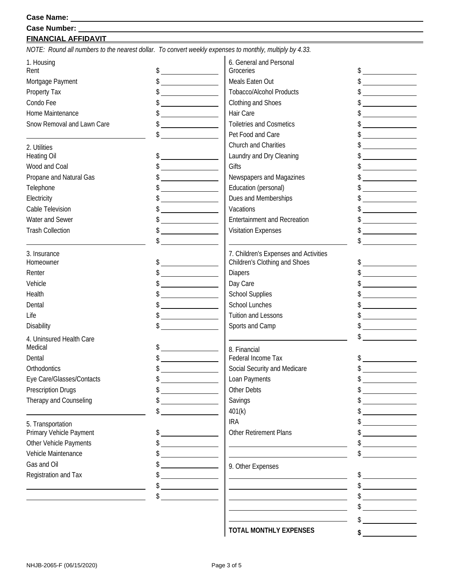# **FINANCIAL AFFIDAVIT**

*NOTE: Round all numbers to the nearest dollar. To convert weekly expenses to monthly, multiply by 4.33.* 

| 1. Housing                 |                                                                     | 6. General and Personal               |                                                                                                                                                                                                                                      |
|----------------------------|---------------------------------------------------------------------|---------------------------------------|--------------------------------------------------------------------------------------------------------------------------------------------------------------------------------------------------------------------------------------|
| Rent                       | $\frac{1}{2}$                                                       | Groceries                             | $\frac{1}{2}$                                                                                                                                                                                                                        |
| Mortgage Payment           | $\frac{1}{2}$                                                       | Meals Eaten Out                       | $\frac{1}{2}$                                                                                                                                                                                                                        |
| Property Tax               | $\frac{1}{2}$                                                       | <b>Tobacco/Alcohol Products</b>       |                                                                                                                                                                                                                                      |
| Condo Fee                  |                                                                     | Clothing and Shoes                    |                                                                                                                                                                                                                                      |
| Home Maintenance           | <u> 1999 - Jan Sterlingen (</u>                                     | Hair Care                             |                                                                                                                                                                                                                                      |
| Snow Removal and Lawn Care |                                                                     | <b>Toiletries and Cosmetics</b>       |                                                                                                                                                                                                                                      |
|                            |                                                                     | Pet Food and Care                     | <u> The Communication of the Communication of the Communication of the Communication of the Communication of the Communication of the Communication of the Communication of the Communication of the Communication of the Commun</u> |
| 2. Utilities               |                                                                     | Church and Charities                  | <u> 1989 - Andrea Station Books (</u>                                                                                                                                                                                                |
| <b>Heating Oil</b>         |                                                                     | Laundry and Dry Cleaning              |                                                                                                                                                                                                                                      |
| Wood and Coal              |                                                                     | Gifts                                 |                                                                                                                                                                                                                                      |
| Propane and Natural Gas    |                                                                     | Newspapers and Magazines              | $\overline{\phantom{a}}$ . The contract of $\overline{\phantom{a}}$                                                                                                                                                                  |
| Telephone                  | $\frac{1}{2}$                                                       | Education (personal)                  | $\frac{1}{2}$                                                                                                                                                                                                                        |
| Electricity                |                                                                     | Dues and Memberships                  | <u> a shekara ta 1989 a shekara ta 1989 a shekara ta 1989 a shekara ta 1989 a shekara ta 1989 a shekara ta 1989 a </u>                                                                                                               |
| Cable Television           |                                                                     | Vacations                             |                                                                                                                                                                                                                                      |
| Water and Sewer            |                                                                     | <b>Entertainment and Recreation</b>   |                                                                                                                                                                                                                                      |
| <b>Trash Collection</b>    |                                                                     | <b>Visitation Expenses</b>            |                                                                                                                                                                                                                                      |
|                            | \$                                                                  |                                       |                                                                                                                                                                                                                                      |
| 3. Insurance               |                                                                     | 7. Children's Expenses and Activities |                                                                                                                                                                                                                                      |
| Homeowner                  |                                                                     | Children's Clothing and Shoes         | $\frac{1}{2}$                                                                                                                                                                                                                        |
| Renter                     | $\frac{1}{2}$                                                       | <b>Diapers</b>                        | $\frac{1}{2}$                                                                                                                                                                                                                        |
| Vehicle                    |                                                                     | Day Care                              |                                                                                                                                                                                                                                      |
| Health                     | $\frac{1}{2}$                                                       | <b>School Supplies</b>                |                                                                                                                                                                                                                                      |
| Dental                     |                                                                     | School Lunches                        |                                                                                                                                                                                                                                      |
| Life                       |                                                                     | <b>Tuition and Lessons</b>            |                                                                                                                                                                                                                                      |
| Disability                 | $\frac{1}{2}$                                                       | Sports and Camp                       |                                                                                                                                                                                                                                      |
|                            |                                                                     |                                       |                                                                                                                                                                                                                                      |
| 4. Uninsured Health Care   |                                                                     |                                       |                                                                                                                                                                                                                                      |
| Medical                    |                                                                     | 8. Financial<br>Federal Income Tax    |                                                                                                                                                                                                                                      |
| Dental                     | $\overline{\phantom{a}}$ . The contract of $\overline{\phantom{a}}$ |                                       |                                                                                                                                                                                                                                      |
| Orthodontics               | $\frac{1}{2}$                                                       | Social Security and Medicare          | $\frac{1}{2}$                                                                                                                                                                                                                        |
| Eye Care/Glasses/Contacts  |                                                                     | Loan Payments                         |                                                                                                                                                                                                                                      |
| <b>Prescription Drugs</b>  |                                                                     | Other Debts                           | \$                                                                                                                                                                                                                                   |
| Therapy and Counseling     |                                                                     | Savings                               |                                                                                                                                                                                                                                      |
|                            | \$                                                                  | 401(k)                                |                                                                                                                                                                                                                                      |
| 5. Transportation          |                                                                     | <b>IRA</b>                            | <u> 1970 - Jan Barat, politik e</u> ta p                                                                                                                                                                                             |
| Primary Vehicle Payment    |                                                                     | <b>Other Retirement Plans</b>         |                                                                                                                                                                                                                                      |
| Other Vehicle Payments     |                                                                     |                                       |                                                                                                                                                                                                                                      |
| Vehicle Maintenance        |                                                                     |                                       | \$                                                                                                                                                                                                                                   |
| Gas and Oil                |                                                                     | 9. Other Expenses                     |                                                                                                                                                                                                                                      |
| Registration and Tax       |                                                                     |                                       |                                                                                                                                                                                                                                      |
|                            |                                                                     |                                       |                                                                                                                                                                                                                                      |
|                            |                                                                     |                                       |                                                                                                                                                                                                                                      |
|                            |                                                                     |                                       |                                                                                                                                                                                                                                      |
|                            |                                                                     |                                       | \$                                                                                                                                                                                                                                   |
|                            |                                                                     |                                       |                                                                                                                                                                                                                                      |

**TOTAL MONTHLY EXPENSES** 

**\$**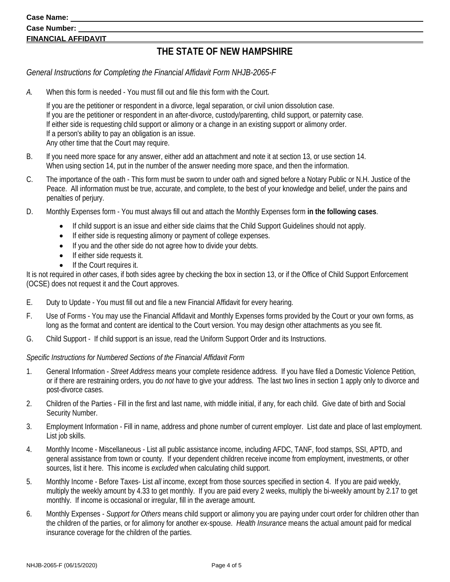#### **Case Name:**

### **Case Number: FINANCIAL AFFIDAVIT**

## **THE STATE OF NEW HAMPSHIRE**

*General Instructions for Completing the Financial Affidavit Form NHJB-2065-F* 

*A.* When this form is needed - You must fill out and file this form with the Court.

 If you are the petitioner or respondent in a divorce, legal separation, or civil union dissolution case. If you are the petitioner or respondent in an after-divorce, custody/parenting, child support, or paternity case. If either side is requesting child support or alimony or a change in an existing support or alimony order. If a person's ability to pay an obligation is an issue. Any other time that the Court may require.

- B. If you need more space for any answer, either add an attachment and note it at section 13, or use section 14. When using section 14, put in the number of the answer needing more space, and then the information.
- C. The importance of the oath This form must be sworn to under oath and signed before a Notary Public or N.H. Justice of the Peace. All information must be true, accurate, and complete, to the best of your knowledge and belief, under the pains and penalties of perjury.
- D. Monthly Expenses form You must always fill out and attach the Monthly Expenses form **in the following cases**.
	- If child support is an issue and either side claims that the Child Support Guidelines should not apply.
	- If either side is requesting alimony or payment of college expenses.
	- If you and the other side do not agree how to divide your debts.
	- **If either side requests it.**
	- **•** If the Court requires it.

It is not required in *other* cases, if both sides agree by checking the box in section 13, or if the Office of Child Support Enforcement (OCSE) does not request it and the Court approves.

- E. Duty to Update You must fill out and file a new Financial Affidavit for every hearing.
- F. Use of Forms You may use the Financial Affidavit and Monthly Expenses forms provided by the Court or your own forms, as long as the format and content are identical to the Court version. You may design other attachments as you see fit.
- G. Child Support If child support is an issue, read the Uniform Support Order and its Instructions.

#### *Specific Instructions for Numbered Sections of the Financial Affidavit Form*

- 1. General Information *Street Address* means your complete residence address. If you have filed a Domestic Violence Petition, or if there are restraining orders, you do *not* have to give your address. The last two lines in section 1 apply only to divorce and post-divorce cases.
- 2. Children of the Parties Fill in the first and last name, with middle initial, if any, for each child. Give date of birth and Social Security Number.
- 3. Employment Information Fill in name, address and phone number of current employer. List date and place of last employment. List job skills.
- 4. Monthly Income Miscellaneous List all public assistance income, including AFDC, TANF, food stamps, SSI, APTD, and general assistance from town or county. If your dependent children receive income from employment, investments, or other sources, list it here. This income is *excluded* when calculating child support.
- 5. Monthly Income Before Taxes- List *all* income, except from those sources specified in section 4. If you are paid weekly, multiply the weekly amount by 4.33 to get monthly. If you are paid every 2 weeks, multiply the bi-weekly amount by 2.17 to get monthly. If income is occasional or irregular, fill in the average amount.
- 6. Monthly Expenses *Support for Others* means child support or alimony you are paying under court order for children other than the children of the parties, or for alimony for another ex-spouse. *Health Insurance* means the actual amount paid for medical insurance coverage for the children of the parties.